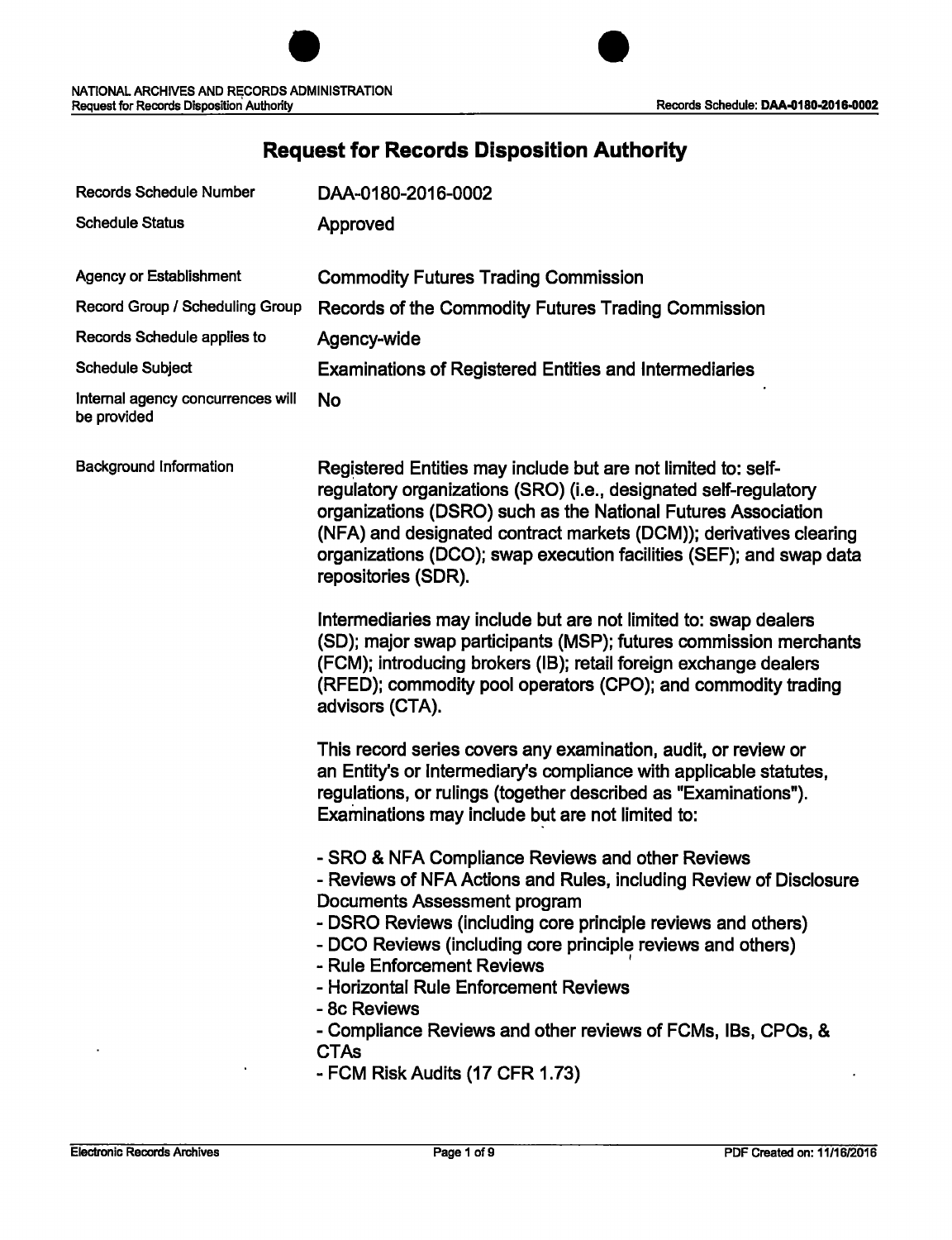| <b>Records Schedule Number</b>                   | DAA-0180-2016-0002                                                                                                                                                                                                                                                                                                                                                                                                                                                                             |
|--------------------------------------------------|------------------------------------------------------------------------------------------------------------------------------------------------------------------------------------------------------------------------------------------------------------------------------------------------------------------------------------------------------------------------------------------------------------------------------------------------------------------------------------------------|
| <b>Schedule Status</b>                           | Approved                                                                                                                                                                                                                                                                                                                                                                                                                                                                                       |
| <b>Agency or Establishment</b>                   | <b>Commodity Futures Trading Commission</b>                                                                                                                                                                                                                                                                                                                                                                                                                                                    |
| Record Group / Scheduling Group                  |                                                                                                                                                                                                                                                                                                                                                                                                                                                                                                |
|                                                  | Records of the Commodity Futures Trading Commission                                                                                                                                                                                                                                                                                                                                                                                                                                            |
| Records Schedule applies to                      | Agency-wide                                                                                                                                                                                                                                                                                                                                                                                                                                                                                    |
| <b>Schedule Subject</b>                          | <b>Examinations of Registered Entities and Intermediaries</b>                                                                                                                                                                                                                                                                                                                                                                                                                                  |
| Internal agency concurrences will<br>be provided | <b>No</b>                                                                                                                                                                                                                                                                                                                                                                                                                                                                                      |
| <b>Background Information</b>                    | Registered Entities may include but are not limited to: self-<br>regulatory organizations (SRO) (i.e., designated self-regulatory<br>organizations (DSRO) such as the National Futures Association<br>(NFA) and designated contract markets (DCM)); derivatives clearing<br>organizations (DCO); swap execution facilities (SEF); and swap data<br>repositories (SDR).                                                                                                                         |
|                                                  | Intermediaries may include but are not limited to: swap dealers<br>(SD); major swap participants (MSP); futures commission merchants<br>(FCM); introducing brokers (IB); retail foreign exchange dealers<br>(RFED); commodity pool operators (CPO); and commodity trading<br>advisors (CTA).                                                                                                                                                                                                   |
|                                                  | This record series covers any examination, audit, or review or<br>an Entity's or intermediary's compliance with applicable statutes,<br>regulations, or rulings (together described as "Examinations").<br>Examinations may include but are not limited to:                                                                                                                                                                                                                                    |
|                                                  | - SRO & NFA Compliance Reviews and other Reviews<br>- Reviews of NFA Actions and Rules, including Review of Disclosure<br>Documents Assessment program<br>- DSRO Reviews (including core principle reviews and others)<br>- DCO Reviews (including core principle reviews and others)<br>- Rule Enforcement Reviews<br>- Horizontal Rule Enforcement Reviews<br>- 8c Reviews<br>- Compliance Reviews and other reviews of FCMs, IBs, CPOs, &<br><b>CTAs</b><br>- FCM Risk Audits (17 CFR 1.73) |

# **Request for Records Disposition Authority**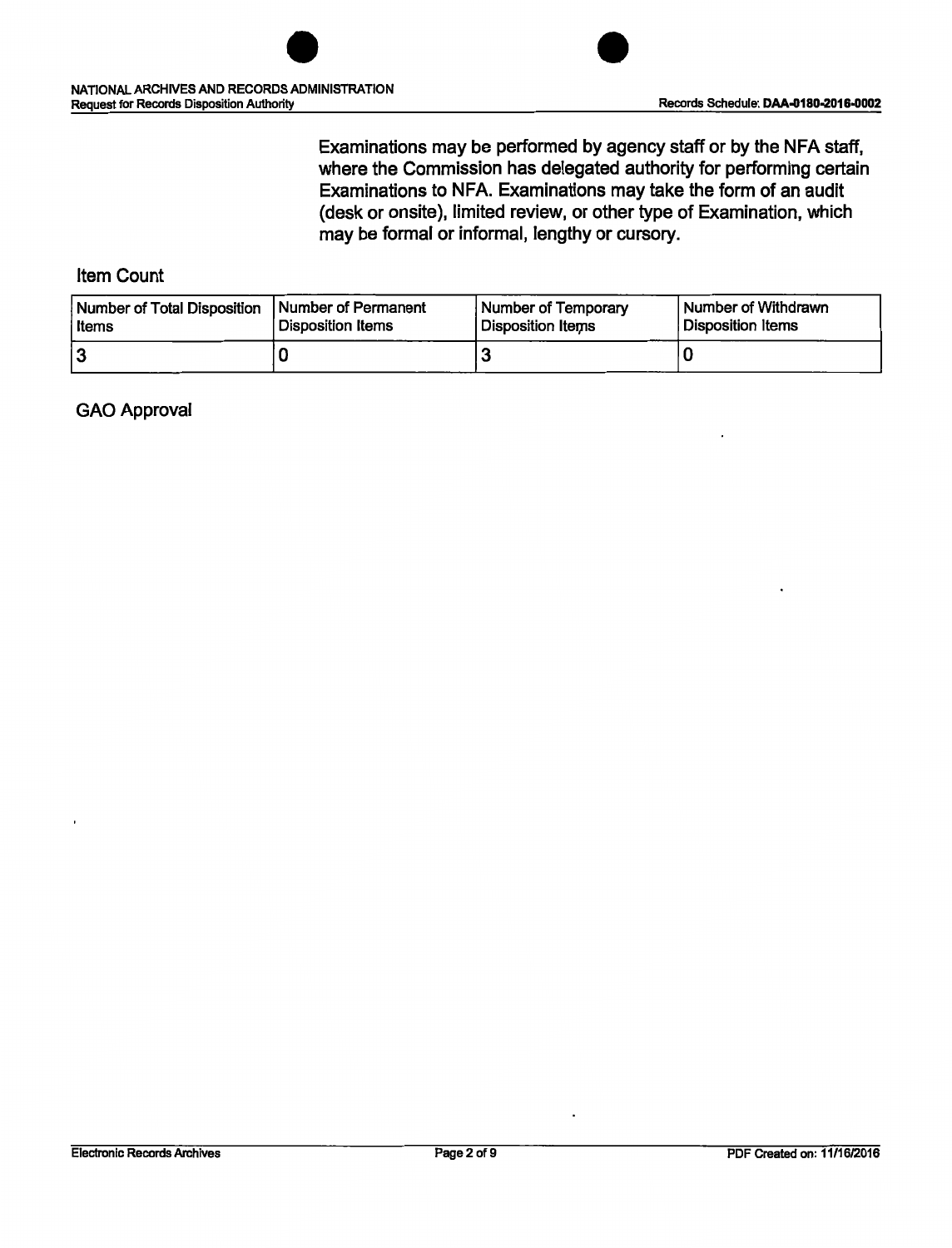

Examinations may be performed by agency staff or by the NFA staff, where the Commission has delegated authority for performing certain Examinations to NFA. Examinations may take the form of an audit (desk or onsite), limited review, or other type of Examination, which may be formal or informal, lengthy or cursory.

#### Item Count

| Number of Total Disposition | <b>Number of Permanent</b> | Number of Temporary | Number of Withdrawn |
|-----------------------------|----------------------------|---------------------|---------------------|
| l Items                     | Disposition Items          | Disposition Items   | Disposition Items   |
| 12                          |                            |                     |                     |

#### GAO Approval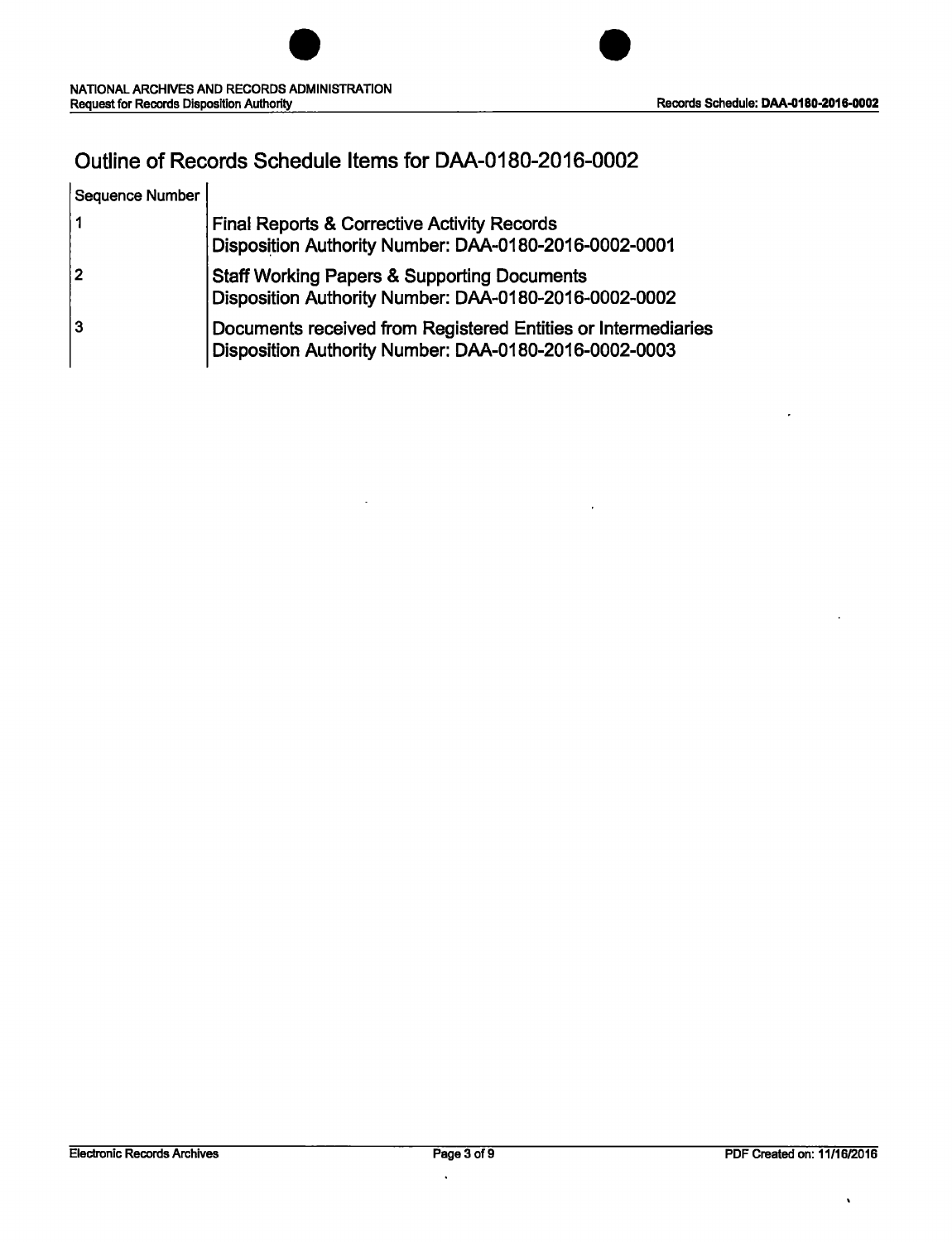

## Outline of Records Schedule Items for DAA-0180-2016-0002

| <b>Sequence Number</b> |                                                                                                                        |
|------------------------|------------------------------------------------------------------------------------------------------------------------|
|                        | <b>Final Reports &amp; Corrective Activity Records</b><br>Disposition Authority Number: DAA-0180-2016-0002-0001        |
| 2                      | <b>Staff Working Papers &amp; Supporting Documents</b><br>Disposition Authority Number: DAA-0180-2016-0002-0002        |
| lЗ                     | Documents received from Registered Entities or Intermediaries<br>Disposition Authority Number: DAA-0180-2016-0002-0003 |

 $\ddot{\phantom{0}}$ 

 $\ddot{\phantom{0}}$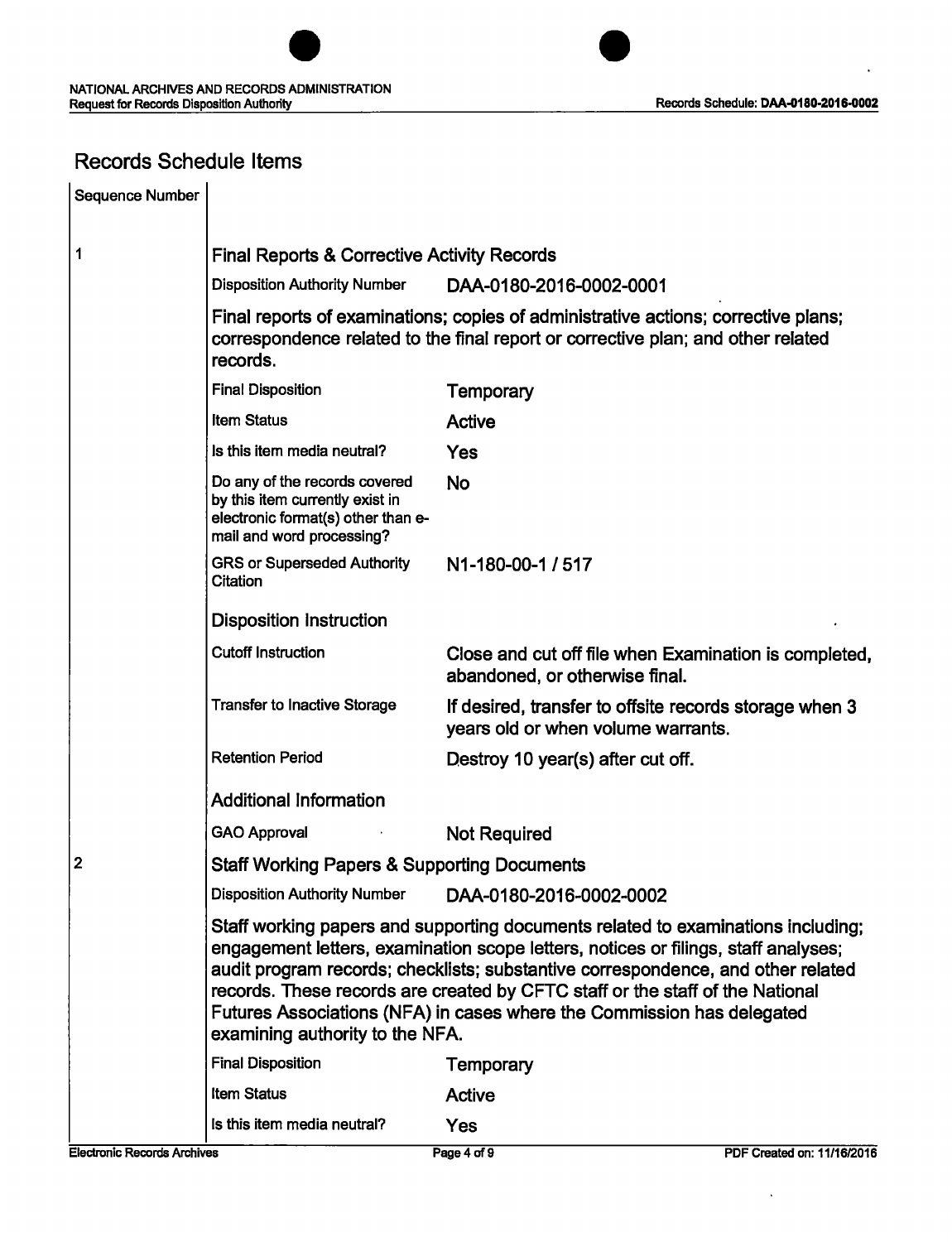

## Records Schedule Items

| <b>Sequence Number</b> |                                                                                                                                                                                                                                                                                                                                                                                                                                                          |                                                                                              |  |
|------------------------|----------------------------------------------------------------------------------------------------------------------------------------------------------------------------------------------------------------------------------------------------------------------------------------------------------------------------------------------------------------------------------------------------------------------------------------------------------|----------------------------------------------------------------------------------------------|--|
| 1                      | <b>Final Reports &amp; Corrective Activity Records</b>                                                                                                                                                                                                                                                                                                                                                                                                   |                                                                                              |  |
|                        | <b>Disposition Authority Number</b>                                                                                                                                                                                                                                                                                                                                                                                                                      | DAA-0180-2016-0002-0001                                                                      |  |
|                        | Final reports of examinations; copies of administrative actions; corrective plans;<br>correspondence related to the final report or corrective plan; and other related<br>records.                                                                                                                                                                                                                                                                       |                                                                                              |  |
|                        | <b>Final Disposition</b>                                                                                                                                                                                                                                                                                                                                                                                                                                 | <b>Temporary</b>                                                                             |  |
|                        | <b>Item Status</b>                                                                                                                                                                                                                                                                                                                                                                                                                                       | <b>Active</b>                                                                                |  |
|                        | Is this item media neutral?                                                                                                                                                                                                                                                                                                                                                                                                                              | Yes                                                                                          |  |
|                        | Do any of the records covered<br>by this item currently exist in<br>electronic format(s) other than e-<br>mail and word processing?                                                                                                                                                                                                                                                                                                                      | <b>No</b>                                                                                    |  |
|                        | <b>GRS or Superseded Authority</b><br>Citation                                                                                                                                                                                                                                                                                                                                                                                                           | N1-180-00-1 / 517                                                                            |  |
|                        | <b>Disposition Instruction</b>                                                                                                                                                                                                                                                                                                                                                                                                                           |                                                                                              |  |
|                        | <b>Cutoff Instruction</b>                                                                                                                                                                                                                                                                                                                                                                                                                                | Close and cut off file when Examination is completed,<br>abandoned, or otherwise final.      |  |
|                        | <b>Transfer to Inactive Storage</b>                                                                                                                                                                                                                                                                                                                                                                                                                      | If desired, transfer to offsite records storage when 3<br>years old or when volume warrants. |  |
|                        | <b>Retention Period</b>                                                                                                                                                                                                                                                                                                                                                                                                                                  | Destroy 10 year(s) after cut off.                                                            |  |
|                        | <b>Additional Information</b>                                                                                                                                                                                                                                                                                                                                                                                                                            |                                                                                              |  |
|                        | <b>GAO Approval</b>                                                                                                                                                                                                                                                                                                                                                                                                                                      | <b>Not Required</b>                                                                          |  |
| 2                      | <b>Staff Working Papers &amp; Supporting Documents</b>                                                                                                                                                                                                                                                                                                                                                                                                   |                                                                                              |  |
|                        | <b>Disposition Authority Number</b>                                                                                                                                                                                                                                                                                                                                                                                                                      | DAA-0180-2016-0002-0002                                                                      |  |
|                        | Staff working papers and supporting documents related to examinations including;<br>engagement letters, examination scope letters, notices or filings, staff analyses;<br>audit program records; checklists; substantive correspondence, and other related<br>records. These records are created by CFTC staff or the staff of the National<br>Futures Associations (NFA) in cases where the Commission has delegated<br>examining authority to the NFA. |                                                                                              |  |
|                        | <b>Final Disposition</b>                                                                                                                                                                                                                                                                                                                                                                                                                                 | Temporary                                                                                    |  |
|                        | <b>Item Status</b>                                                                                                                                                                                                                                                                                                                                                                                                                                       | <b>Active</b>                                                                                |  |
|                        | Is this item media neutral?                                                                                                                                                                                                                                                                                                                                                                                                                              | Yes                                                                                          |  |

 $\ddot{\phantom{a}}$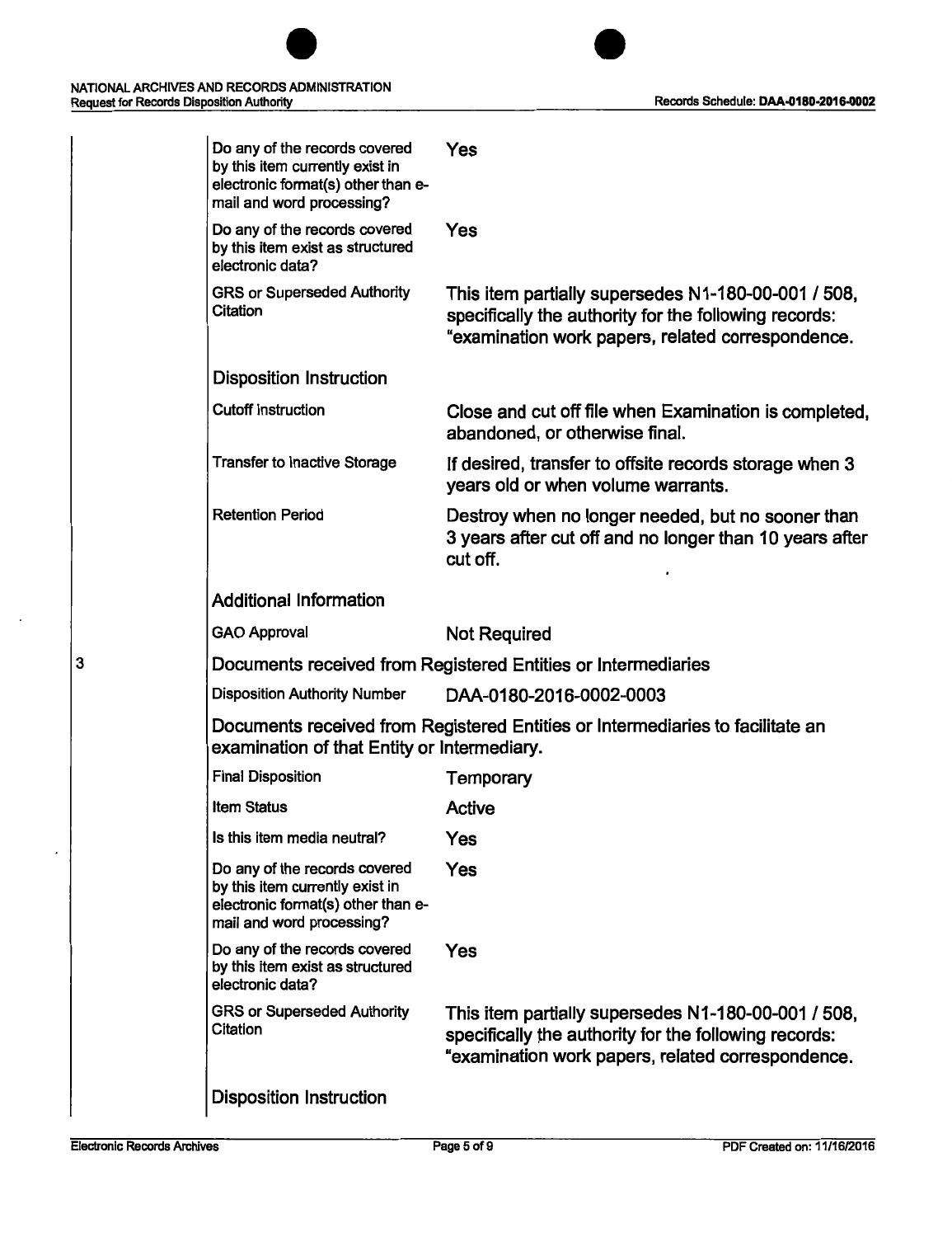

| Do any of the records covered<br>by this item currently exist in<br>electronic format(s) other than e-<br>mail and word processing? | Yes                                                                                                                                                               |
|-------------------------------------------------------------------------------------------------------------------------------------|-------------------------------------------------------------------------------------------------------------------------------------------------------------------|
| Do any of the records covered<br>by this item exist as structured<br>electronic data?                                               | Yes                                                                                                                                                               |
| <b>GRS or Superseded Authority</b><br>Citation                                                                                      | This item partially supersedes N1-180-00-001 / 508,<br>specifically the authority for the following records:<br>"examination work papers, related correspondence. |
| <b>Disposition Instruction</b>                                                                                                      |                                                                                                                                                                   |
| <b>Cutoff Instruction</b>                                                                                                           | Close and cut off file when Examination is completed,<br>abandoned, or otherwise final.                                                                           |
| <b>Transfer to Inactive Storage</b>                                                                                                 | If desired, transfer to offsite records storage when 3<br>years old or when volume warrants.                                                                      |
| <b>Retention Period</b>                                                                                                             | Destroy when no longer needed, but no sooner than<br>3 years after cut off and no longer than 10 years after<br>cut off.                                          |
| <b>Additional Information</b>                                                                                                       |                                                                                                                                                                   |
| <b>GAO Approval</b>                                                                                                                 | <b>Not Required</b>                                                                                                                                               |
|                                                                                                                                     | Documents received from Registered Entities or Intermediaries                                                                                                     |
| <b>Disposition Authority Number</b>                                                                                                 | DAA-0180-2016-0002-0003                                                                                                                                           |
| examination of that Entity or Intermediary.                                                                                         | Documents received from Registered Entities or Intermediaries to facilitate an                                                                                    |
| <b>Final Disposition</b>                                                                                                            | <b>Temporary</b>                                                                                                                                                  |
| <b>Item Status</b>                                                                                                                  | Active                                                                                                                                                            |
| Is this item media neutral?                                                                                                         | Yes                                                                                                                                                               |
| Do any of the records covered<br>by this item currently exist in<br>electronic format(s) other than e-<br>mail and word processing? | <b>Yes</b>                                                                                                                                                        |
| Do any of the records covered<br>by this item exist as structured<br>electronic data?                                               | Yes                                                                                                                                                               |
| <b>GRS or Superseded Authority</b><br>Citation                                                                                      | This item partially supersedes N1-180-00-001 / 508,<br>specifically the authority for the following records:<br>"examination work papers, related correspondence. |
| <b>Disposition Instruction</b>                                                                                                      |                                                                                                                                                                   |
|                                                                                                                                     |                                                                                                                                                                   |

3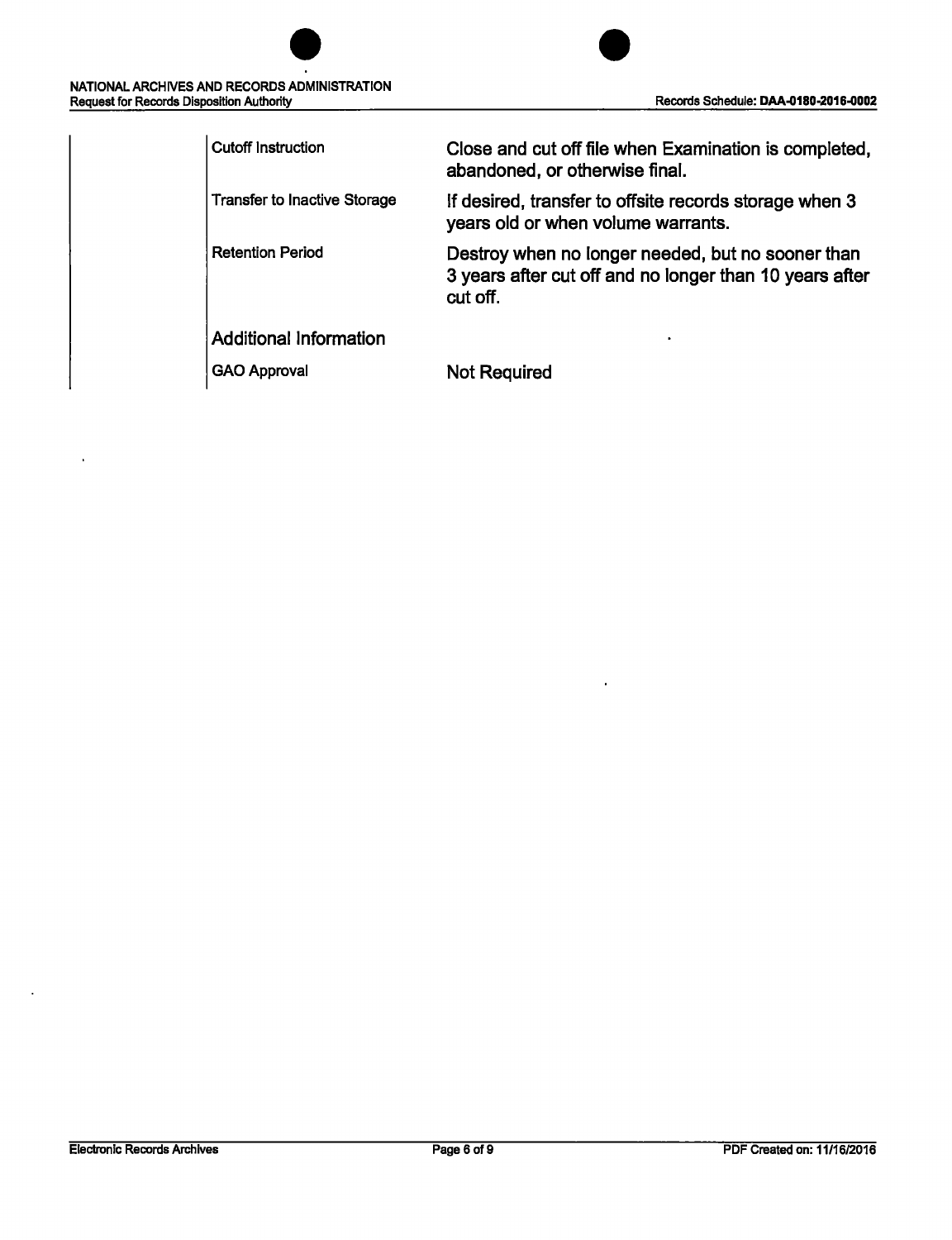| NATIONAL ARCHIVES AND RECORDS ADMINISTRATION<br><b>Request for Records Disposition Authority</b> | R |
|--------------------------------------------------------------------------------------------------|---|

| <b>Cutoff Instruction</b>           | Close and cut off file when Examination is completed,<br>abandoned, or otherwise final.                                  |
|-------------------------------------|--------------------------------------------------------------------------------------------------------------------------|
| <b>Transfer to Inactive Storage</b> | If desired, transfer to offsite records storage when 3<br>years old or when volume warrants.                             |
| <b>Retention Period</b>             | Destroy when no longer needed, but no sooner than<br>3 years after cut off and no longer than 10 years after<br>cut off. |
| <b>Additional Information</b>       |                                                                                                                          |
| <b>GAO Approval</b>                 | Not Required                                                                                                             |

 $\ddot{\phantom{0}}$ 

 $\ddot{\phantom{a}}$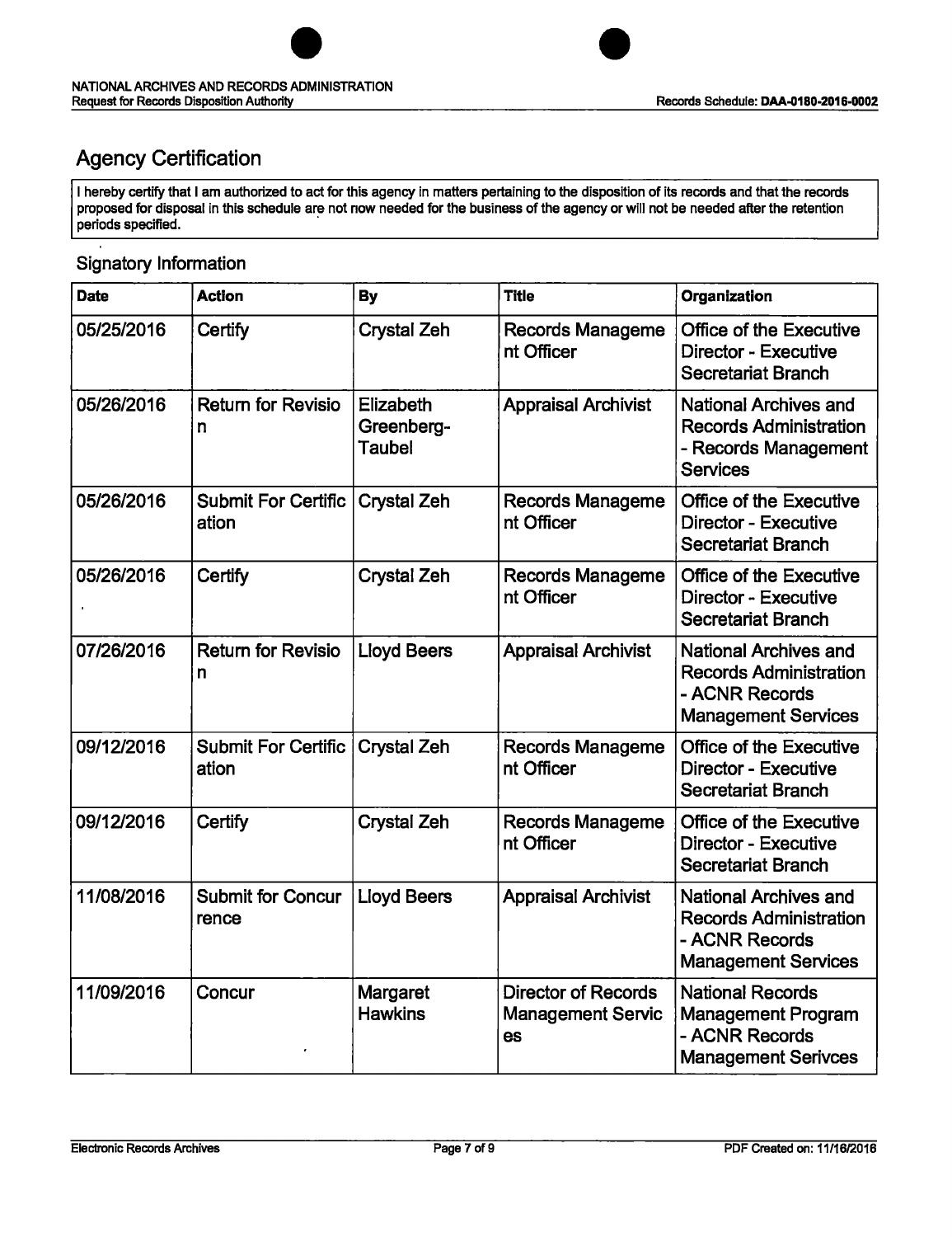

## Agency Certification

I hereby certify that I am authorized to act for this agency in matters pertaining to the disposition of its records and that the records proposed for disposal in this schedule are not now needed for the business of the agency or will not be needed after the retention periods specified.

### Signatory Information

| <b>Date</b> | <b>Action</b>                       | <b>By</b>                                | <b>Title</b>                                                 | Organization                                                                                                  |
|-------------|-------------------------------------|------------------------------------------|--------------------------------------------------------------|---------------------------------------------------------------------------------------------------------------|
| 05/25/2016  | Certify                             | <b>Crystal Zeh</b>                       | <b>Records Manageme</b><br>nt Officer                        | Office of the Executive<br>Director - Executive<br><b>Secretariat Branch</b>                                  |
| 05/26/2016  | <b>Return for Revisio</b><br>n      | Elizabeth<br>Greenberg-<br><b>Taubel</b> | <b>Appraisal Archivist</b>                                   | National Archives and<br><b>Records Administration</b><br>- Records Management<br><b>Services</b>             |
| 05/26/2016  | <b>Submit For Certific</b><br>ation | <b>Crystal Zeh</b>                       | <b>Records Manageme</b><br>nt Officer                        | <b>Office of the Executive</b><br><b>Director - Executive</b><br><b>Secretariat Branch</b>                    |
| 05/26/2016  | Certify                             | <b>Crystal Zeh</b>                       | <b>Records Manageme</b><br>nt Officer                        | Office of the Executive<br>Director - Executive<br><b>Secretariat Branch</b>                                  |
| 07/26/2016  | <b>Return for Revisio</b><br>n      | <b>Lloyd Beers</b>                       | <b>Appraisal Archivist</b>                                   | <b>National Archives and</b><br><b>Records Administration</b><br>- ACNR Records<br><b>Management Services</b> |
| 09/12/2016  | <b>Submit For Certific</b><br>ation | <b>Crystal Zeh</b>                       | <b>Records Manageme</b><br>nt Officer                        | <b>Office of the Executive</b><br><b>Director - Executive</b><br><b>Secretariat Branch</b>                    |
| 09/12/2016  | Certify                             | <b>Crystal Zeh</b>                       | <b>Records Manageme</b><br>nt Officer                        | <b>Office of the Executive</b><br><b>Director - Executive</b><br><b>Secretariat Branch</b>                    |
| 11/08/2016  | <b>Submit for Concur</b><br>rence   | <b>Lloyd Beers</b>                       | <b>Appraisal Archivist</b>                                   | <b>National Archives and</b><br><b>Records Administration</b><br>- ACNR Records<br><b>Management Services</b> |
| 11/09/2016  | Concur                              | <b>Margaret</b><br><b>Hawkins</b>        | <b>Director of Records</b><br><b>Management Servic</b><br>es | <b>National Records</b><br><b>Management Program</b><br>- ACNR Records<br><b>Management Serivces</b>          |